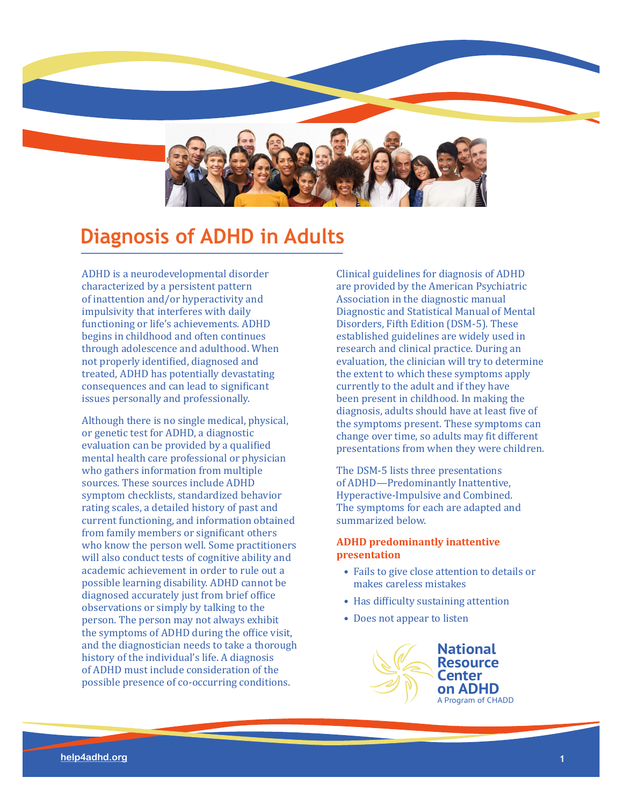

# **Diagnosis of ADHD in Adults**

ADHD is a neurodevelopmental disorder characterized by a persistent pattern of inattention and/or hyperactivity and impulsivity that interferes with daily functioning or life's achievements. ADHD begins in childhood and often continues through adolescence and adulthood. When not properly identified, diagnosed and treated, ADHD has potentially devastating consequences and can lead to significant issues personally and professionally.

Although there is no single medical, physical, or genetic test for ADHD, a diagnostic evaluation can be provided by a qualified mental health care professional or physician who gathers information from multiple sources. These sources include ADHD symptom checklists, standardized behavior rating scales, a detailed history of past and current functioning, and information obtained from family members or significant others who know the person well. Some practitioners will also conduct tests of cognitive ability and academic achievement in order to rule out a possible learning disability. ADHD cannot be diagnosed accurately just from brief office observations or simply by talking to the person. The person may not always exhibit the symptoms of ADHD during the office visit, and the diagnostician needs to take a thorough history of the individual's life. A diagnosis of ADHD must include consideration of the possible presence of co-occurring conditions.

Clinical guidelines for diagnosis of ADHD are provided by the American Psychiatric Association in the diagnostic manual Diagnostic and Statistical Manual of Mental Disorders, Fifth Edition (DSM-5). These established guidelines are widely used in research and clinical practice. During an evaluation, the clinician will try to determine the extent to which these symptoms apply currently to the adult and if they have been present in childhood. In making the diagnosis, adults should have at least five of the symptoms present. These symptoms can change over time, so adults may fit different presentations from when they were children.

The DSM-5 lists three presentations of ADHD—Predominantly Inattentive, Hyperactive-Impulsive and Combined. The symptoms for each are adapted and summarized below.

## **ADHD predominantly inattentive presentation**

- Fails to give close attention to details or makes careless mistakes
- Has difficulty sustaining attention
- Does not appear to listen

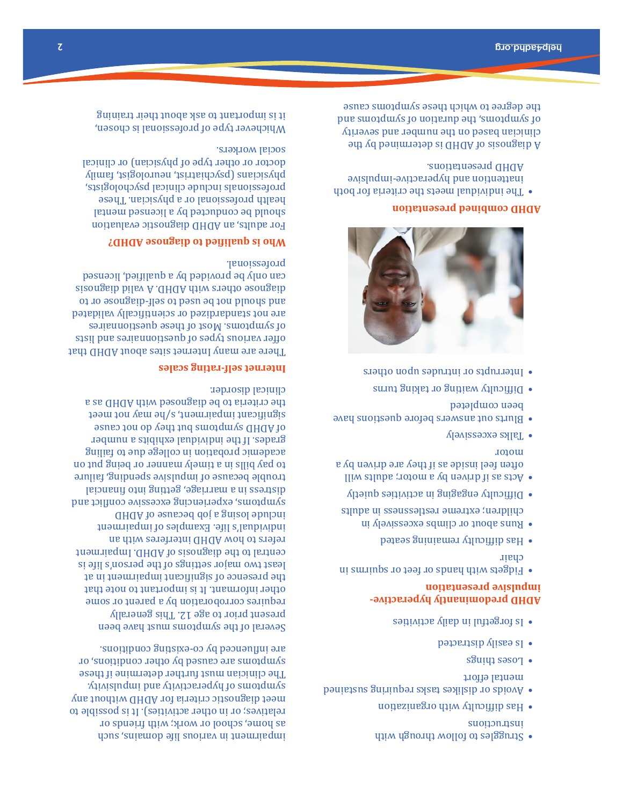- Struggles to follow through with suomansui
- Has difficulty with organization •
- Avoids or dislikes tasks requiring sustained mental effort
- Loses things •
- Is easily distracted •
- Is forgetful in daily activities •

# **ADHD predominantly hyperactiveimpulsive presentation**

- Fidgets with hands or feet or squirms in chair
- be Has difficulty remaining seated
- Runs about or climbs excessively in children; extreme restlessness in adults
- Difficulty engaging in activities quietly •
- Acts as if driven by a motor; adults will often feel inside as if they are driven by a motor
- $\sqrt{2}$  Talks excessively
- Blurts out answers before questions have been completed
- or Difficulty waiting to gaing turns
- $\mathbf s$  interrupts or produce space  $\mathbf s$



# **ADHD combined presentation**

The individual meets the criteria for both • inattention and hyperactive-impulsive ADHD presentations.

A diagnosis of ADHD is determined by the clinician based on the number and severity pue swoadwas jo uoiaenp aquis swoadwas jo the degree to which these symptoms cause

impairment in various pilj en various and the variety as home, school or work; with friends or relatives; or in other activities). It is possible to meet diagnostic criteria for ADHD without any symptoms of hyperactivity and impulsivity. The clinician must further determine if these symptoms are caused by other conditions, or are influenced by co-existing conditions.

Several of the symptoms must have been present prior to age 12. This generally requires corroboration by a parent or some other informant. It is important to note that presence of significant impairment in at the least two major settings of the person's life is Impairment central to the diagnosis of ADHD. refers to how ADHD interferes with an individual's life. Examples of impairment include losing a job because of ADHD symptoms, experiencing excessive conflict and distress in a marriage, getting into financial tronple pecanze of impulsive spending, failure to pay bills in a timely manner or being put on academic probation in college due to failing grades. If the individual exhibits a number of ADHD symptoms put they app to not cause significant impairment, sylon may not meet the criteria to be diagnosed with ADHD as a clinical disorder.

## **Internet self-rating scales**

There are many Internet sites about ADHD that offer various types of questionnaires and lists of symptoms. Most of these questionnaires are not standardized or scientifically validated and should not be used to self-diagnose or to diagnose others with ADHD. A valid diagnosis can only be provided by a qualified, licensed professional.

## **Who is qualified to diagnose ADHD?**

For adults, an ADHD diagnostic evaluation should be conducted by a licensed mental health professional or a physician. These professionals include clinical psychologists, physicians (psychiatrist, neurologist, family doctor or other type of physician) or clinical social workers.

Whichever type of professional is chosen, it is important to ask about their training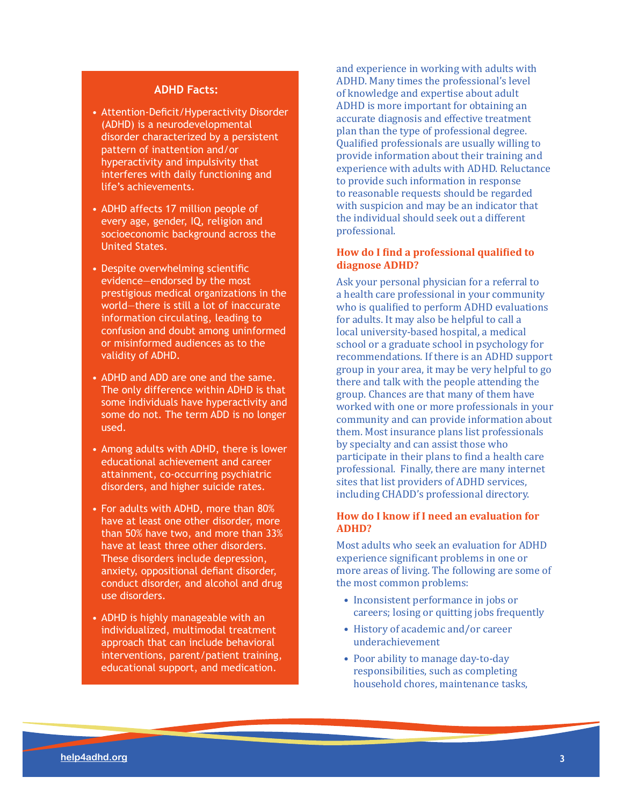### **ADHD Facts:**

- Attention-Deficit/Hyperactivity Disorder (ADHD) is a neurodevelopmental disorder characterized by a persistent pattern of inattention and/or hyperactivity and impulsivity that interferes with daily functioning and life's achievements.
- ADHD affects 17 million people of every age, gender, IQ, religion and socioeconomic background across the United States.
- Despite overwhelming scientifc evidence—endorsed by the most prestigious medical organizations in the world—there is still a lot of inaccurate information circulating, leading to confusion and doubt among uninformed or misinformed audiences as to the validity of ADHD.
- ADHD and ADD are one and the same. The only difference within ADHD is that some individuals have hyperactivity and some do not. The term ADD is no longer used.
- Among adults with ADHD, there is lower educational achievement and career attainment, co-occurring psychiatric disorders, and higher suicide rates.
- For adults with ADHD, more than 80% have at least one other disorder, more than 50% have two, and more than 33% have at least three other disorders. These disorders include depression, anxiety, oppositional defant disorder, conduct disorder, and alcohol and drug use disorders.
- ADHD is highly manageable with an individualized, multimodal treatment approach that can include behavioral interventions, parent/patient training, educational support, and medication.

and experience in working with adults with ADHD. Many times the professional's level of knowledge and expertise about adult ADHD is more important for obtaining an accurate diagnosis and effective treatment plan than the type of professional degree. Qualified professionals are usually willing to provide information about their training and experience with adults with ADHD. Reluctance to provide such information in response to reasonable requests should be regarded with suspicion and may be an indicator that the individual should seek out a different professional.

## **How do I find a professional qualified to diagnose ADHD?**

Ask your personal physician for a referral to a health care professional in your community who is qualified to perform ADHD evaluations for adults. It may also be helpful to call a local university-based hospital, a medical school or a graduate school in psychology for recommendations. If there is an ADHD support group in your area, it may be very helpful to go there and talk with the people attending the group. Chances are that many of them have worked with one or more professionals in your community and can provide information about them. Most insurance plans list professionals by specialty and can assist those who participate in their plans to find a health care professional. Finally, there are many internet sites that list providers of ADHD services, including CHADD's professional directory.

## **How do I know if I need an evaluation for ADHD?**

Most adults who seek an evaluation for ADHD experience significant problems in one or more areas of living. The following are some of the most common problems:

- Inconsistent performance in jobs or careers; losing or quitting jobs frequently
- History of academic and/or career underachievement
- Poor ability to manage day-to-day responsibilities, such as completing household chores, maintenance tasks,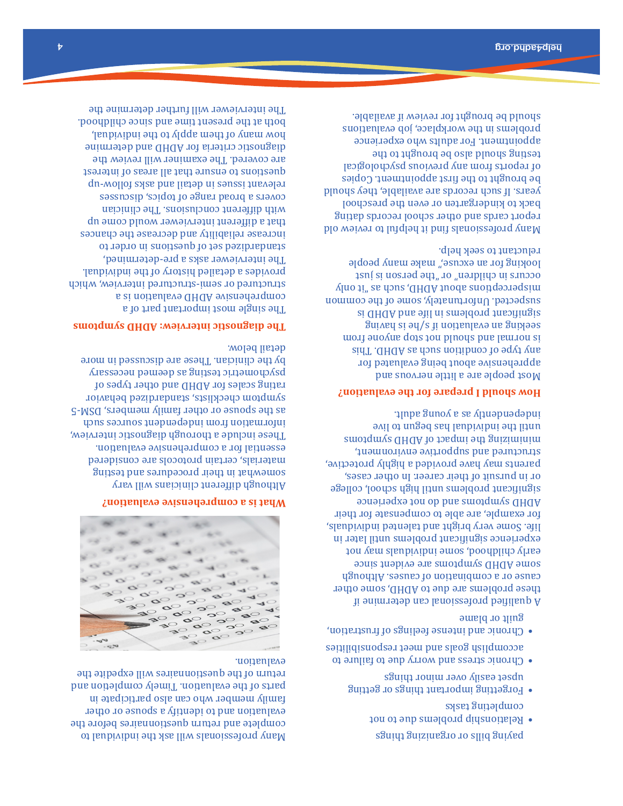paying bills or organizing things

- Relationship problems due to not combjeting tasks
- Forgetting important things or getting sguidt nonim ravo vlisse tasqu
- Chronic stress and worry due to failure to accomplish goals and meet responsibilities
- Chronic and intense feelings of frustration, guilt or blame

A qualified professional can determine if these problems are due to ADHD, some other canze or a compination of causes. Although some ADHD symptoms are evident since childhood, some individual may not ease to determine the manufology and the state and the state may be a state experience significant problems until later in life. Some very bright and talented individuals, for example, are able to compensate for their experience and do not experience significant problems until high school, college or in pursuit of their career. In other cases, parents may have provided a highly protective, environment and supportive environment, the sword minimipol in the sumple of an analysis of the sumple is an until the individual has begun to live independently as a young adult.

#### **How should I prepare for the evaluation?**

Most people are a little nervous and apprehensive about being evaluated for any type of condition such as ADHD. This normal suodus dots tou bluous bus lemnou si seeking an evaluation if s/he is having si GHGA bns eill ni emeldorq theoringis anabected. Unfortunately, some of the common misperceptions about ADHD, such as "it only occurs in children" or "the person is just looking for an excuse," make many people reluctant to seek help.

Many professionals find it helpful to review old report cards and other school records dating pack to kindergarten or even the preschool years. If such records are available, they should be brought to the first appointment. Copies psigological suoiverq vns previous from any presents from any present of reports  $\alpha$ testing should also be brought to the appointment. For adults who experience problems in the workplace, job evaluations should be brought for review if available.

Many professionals will ask the individual to complete and return questionnaires before the evaluation and to identify a spouse or other family member who can also participate in parts of the evaluation. Timely completion and return of the questionnaires will expedite the evaluation.



#### **What is a comprehensive evaluation?**

Although different clinicians will vary what in their procedures and testing some materials, certain protocols are considered essential for a comprehensive evaluation. These include a thorough diagnostic interview, information independent sources spoken as the spouse or other family members, DSM-5 symptom checklists, standardized behavior rating scales for ADHD and other types of psychometric testing as deemed necessary by the clinician. These are discussed in more detail below.

## **The diagnostic interview: ADHD symptoms**

The single most important part of a e si noitsuleve ADHD evaluation is a structured or semi-structured interview, which individual. provides a detailed history of the  $\alpha$ paujument asks a pre-defermined, standardized set of questions in order to increase reliability and decrease the chances that a different interviewer would come up with different conclusions. The clinician covers a broad range of topics, discusses relevant issues in detail and asks follow-up ensure that all areas of interest questions to are covered. The examiner will review the criteria for ADHD and determine diagnostic how many of them apply to the individual, poth at the present time and since childhood. interviewer will further determine the The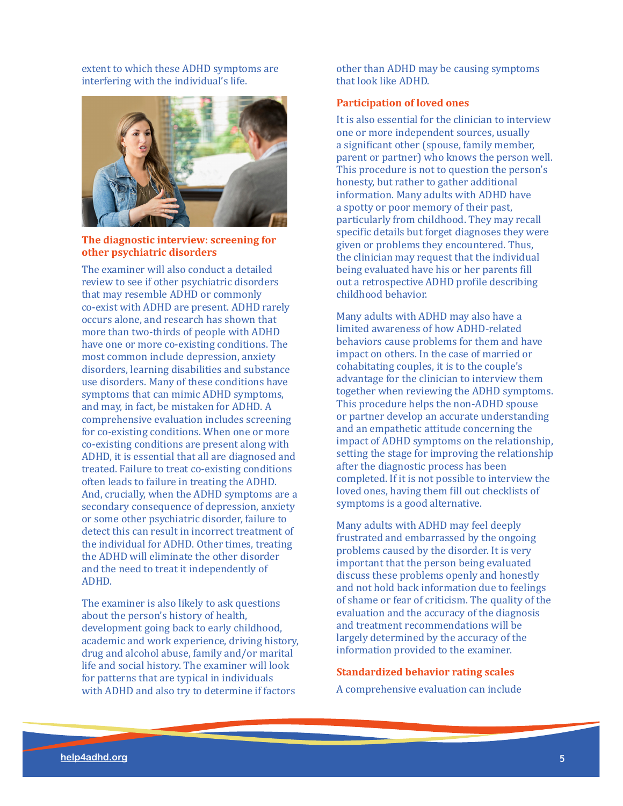extent to which these ADHD symptoms are interfering with the individual's life.



## **The diagnostic interview: screening for other psychiatric disorders**

The examiner will also conduct a detailed review to see if other psychiatric disorders that may resemble ADHD or commonly co-exist with ADHD are present. ADHD rarely occurs alone, and research has shown that more than two-thirds of people with ADHD have one or more co-existing conditions. The most common include depression, anxiety disorders, learning disabilities and substance use disorders. Many of these conditions have symptoms that can mimic ADHD symptoms, and may, in fact, be mistaken for ADHD. A comprehensive evaluation includes screening for co-existing conditions. When one or more co-existing conditions are present along with ADHD, it is essential that all are diagnosed and treated. Failure to treat co-existing conditions often leads to failure in treating the ADHD. And, crucially, when the ADHD symptoms are a secondary consequence of depression, anxiety or some other psychiatric disorder, failure to detect this can result in incorrect treatment of the individual for ADHD. Other times, treating the ADHD will eliminate the other disorder and the need to treat it independently of ADHD.

The examiner is also likely to ask questions about the person's history of health, development going back to early childhood, academic and work experience, driving history, drug and alcohol abuse, family and/or marital life and social history. The examiner will look for patterns that are typical in individuals with ADHD and also try to determine if factors

other than ADHD may be causing symptoms that look like ADHD.

#### **Participation of loved ones**

It is also essential for the clinician to interview one or more independent sources, usually a significant other (spouse, family member, parent or partner) who knows the person well. This procedure is not to question the person's honesty, but rather to gather additional information. Many adults with ADHD have a spotty or poor memory of their past, particularly from childhood. They may recall specific details but forget diagnoses they were given or problems they encountered. Thus, the clinician may request that the individual being evaluated have his or her parents fill out a retrospective ADHD profile describing childhood behavior.

Many adults with ADHD may also have a limited awareness of how ADHD-related behaviors cause problems for them and have impact on others. In the case of married or cohabitating couples, it is to the couple's advantage for the clinician to interview them together when reviewing the ADHD symptoms. This procedure helps the non-ADHD spouse or partner develop an accurate understanding and an empathetic attitude concerning the impact of ADHD symptoms on the relationship, setting the stage for improving the relationship after the diagnostic process has been completed. If it is not possible to interview the loved ones, having them fill out checklists of symptoms is a good alternative.

Many adults with ADHD may feel deeply frustrated and embarrassed by the ongoing problems caused by the disorder. It is very important that the person being evaluated discuss these problems openly and honestly and not hold back information due to feelings of shame or fear of criticism. The quality of the evaluation and the accuracy of the diagnosis and treatment recommendations will be largely determined by the accuracy of the information provided to the examiner.

#### **Standardized behavior rating scales**

A comprehensive evaluation can include